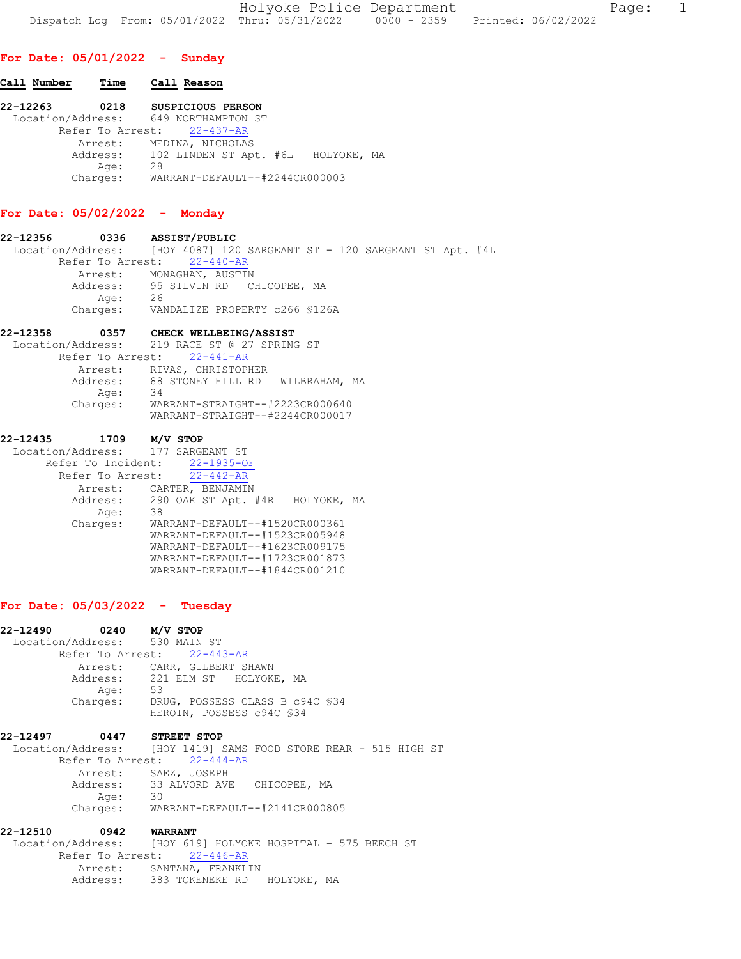Holyoke Police Department Fage: 1 Dispatch Log From: 05/01/2022 Thru: 05/31/2022 0000 - 2359 Printed: 06/02/2022

# For Date: 05/01/2022 - Sunday

# Call Number Time Call Reason 22-12263 0218 SUSPICIOUS PERSON Location/Address: 649 NORTHAMPTON ST Refer To Arrest: 22-437-AR Arrest: MEDINA, NICHOLAS Address: 102 LINDEN ST Apt. #6L HOLYOKE, MA Age: 28 Charges: WARRANT-DEFAULT--#2244CR000003

## For Date: 05/02/2022 - Monday

22-12356 0336 ASSIST/PUBLIC Location/Address: [HOY 4087] 120 SARGEANT ST - 120 SARGEANT ST Apt. #4L Refer To Arrest: 22-440-AR Arrest: MONAGHAN, AUSTIN Address: 95 SILVIN RD CHICOPEE, MA Age: 26 Charges: VANDALIZE PROPERTY c266 §126A

#### 22-12358 0357 CHECK WELLBEING/ASSIST

|          | Location/Address: 219 RACE ST @ 27 SPRING ST |
|----------|----------------------------------------------|
|          | Refer To Arrest: 22-441-AR                   |
|          | Arrest: RIVAS, CHRISTOPHER                   |
| Address: | 88 STONEY HILL RD WILBRAHAM, MA              |
| Age:     | 34                                           |
| Charges: | WARRANT-STRAIGHT--#2223CR000640              |
|          | WARRANT-STRAIGHT--#2244CR000017              |

## 22-12435 1709 M/V STOP

| Location/Address: 177 SARGEANT ST              |
|------------------------------------------------|
| Refer To Incident: 22-1935-OF                  |
| Refer To Arrest: 22-442-AR                     |
| CARTER, BENJAMIN<br>Arrest:                    |
| Address: 290 OAK ST Apt. #4R<br>HOLYOKE,<br>MA |
| 38                                             |
| WARRANT-DEFAULT--#1520CR000361                 |
| WARRANT-DEFAULT--#1523CR005948                 |
| WARRANT-DEFAULT--#1623CR009175                 |
| WARRANT-DEFAULT--#1723CR001873                 |
| WARRANT-DEFAULT--#1844CR001210                 |
|                                                |

#### For Date: 05/03/2022 - Tuesday

| 22-12490 | 0240 M/V STOP |                                                                 |
|----------|---------------|-----------------------------------------------------------------|
|          |               | Location/Address: 530 MAIN ST                                   |
|          |               | Refer To Arrest: 22-443-AR                                      |
|          |               | Arrest: CARR, GILBERT SHAWN                                     |
|          |               | Address: 221 ELM ST HOLYOKE, MA                                 |
|          | Age:          | 53                                                              |
|          | Charges:      | DRUG, POSSESS CLASS B c94C §34                                  |
|          |               | HEROIN, POSSESS c94C §34                                        |
|          |               |                                                                 |
| 22-12497 |               | 0447 STREET STOP                                                |
|          |               | Location/Address: [HOY 1419] SAMS FOOD STORE REAR - 515 HIGH ST |
|          |               | Refer To Arrest: 22-444-AR                                      |
|          | Arrest:       | SAEZ, JOSEPH                                                    |
|          |               | Address: 33 ALVORD AVE CHICOPEE, MA                             |
|          | Age:          | $\overline{30}$                                                 |
|          | Charges:      | WARRANT-DEFAULT--#2141CR000805                                  |

# 22-12510 0942 WARRANT

 Location/Address: [HOY 619] HOLYOKE HOSPITAL - 575 BEECH ST Refer To Arrest: 22-446-AR Arrest: SANTANA, FRANKLIN Address: 383 TOKENEKE RD HOLYOKE, MA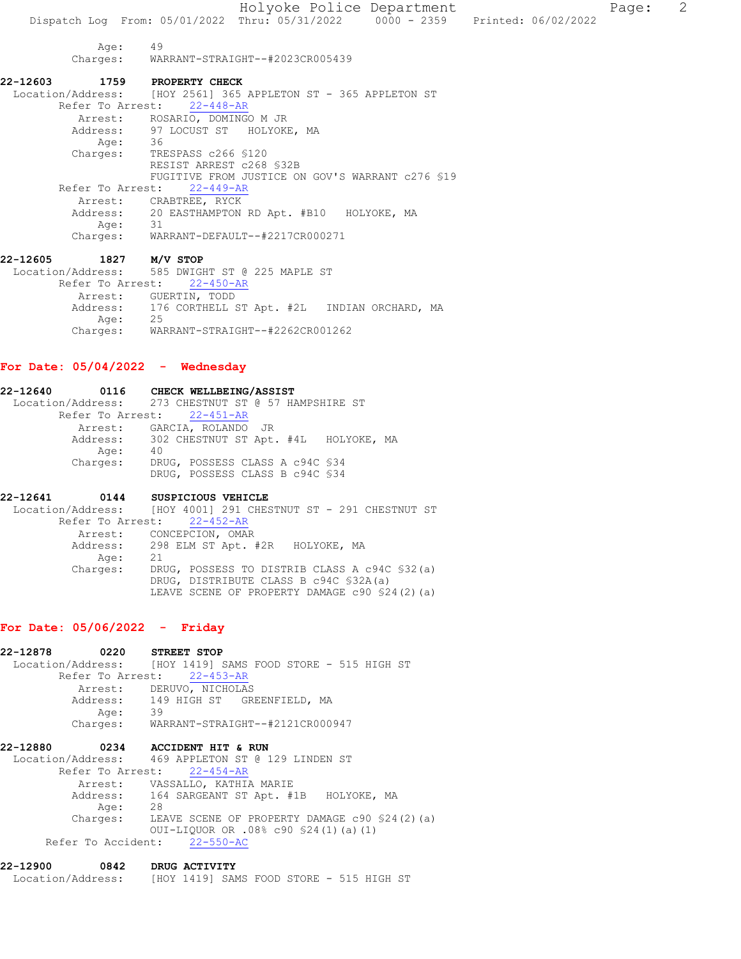Holyoke Police Department Fage: 2 Dispatch Log From: 05/01/2022 Thru: 05/31/2022 0000 - 2359 Printed: 06/02/2022 Age: 49 Charges: WARRANT-STRAIGHT--#2023CR005439 22-12603 1759 PROPERTY CHECK Location/Address: [HOY 2561] 365 APPLETON ST - 365 APPLETON ST Refer To Arrest: 22-448-AR Arrest: ROSARIO, DOMINGO M JR Address: 97 LOCUST ST HOLYOKE, MA Age: 36 Charges: TRESPASS c266 §120 RESIST ARREST c268 §32B FUGITIVE FROM JUSTICE ON GOV'S WARRANT c276 §19 Refer To Arrest: 22-449-AR Arrest: CRABTREE, RYCK Address: 20 EASTHAMPTON RD Apt. #B10 HOLYOKE, MA Age: 31 Charges: WARRANT-DEFAULT--#2217CR000271 22-12605 1827 M/V STOP Location/Address: 585 DWIGHT ST @ 225 MAPLE ST Refer To Arrest: 22-450-AR Arrest: GUERTIN, TODD Address: 176 CORTHELL ST Apt. #2L INDIAN ORCHARD, MA Age: 25 Age: 25<br>Charges: WARRANT-STRAIGHT--#2262CR001262

#### For Date: 05/04/2022 - Wednesday

| 22-12640 |          | 0116 CHECK WELLBEING/ASSIST                         |
|----------|----------|-----------------------------------------------------|
|          |          | Location/Address: 273 CHESTNUT ST @ 57 HAMPSHIRE ST |
|          |          | Refer To Arrest: 22-451-AR                          |
|          |          | Arrest: GARCIA, ROLANDO JR                          |
|          |          | Address: 302 CHESTNUT ST Apt. #4L HOLYOKE, MA       |
|          | Age:     | 40                                                  |
|          | Charges: | DRUG, POSSESS CLASS A c94C \$34                     |
|          |          | DRUG, POSSESS CLASS B c94C \$34                     |
|          |          |                                                     |
|          |          |                                                     |

22-12641 0144 SUSPICIOUS VEHICLE Location/Address: [HOY 4001] 291 CHESTNUT ST - 291 CHESTNUT ST Refer To Arrest: 22-452-AR Arrest: CONCEPCION, OMAR Address: 298 ELM ST Apt. #2R HOLYOKE, MA<br>Age: 21 Age: Charges: DRUG, POSSESS TO DISTRIB CLASS A c94C §32(a) DRUG, DISTRIBUTE CLASS B c94C §32A(a) LEAVE SCENE OF PROPERTY DAMAGE c90 §24(2)(a)

# For Date: 05/06/2022 - Friday

| 22-12878 | 0220       | STREET STOP                                                |
|----------|------------|------------------------------------------------------------|
|          |            | Location/Address: [HOY 1419] SAMS FOOD STORE - 515 HIGH ST |
|          |            | Refer To Arrest: 22-453-AR                                 |
|          |            | Arrest: DERUVO, NICHOLAS                                   |
|          |            | Address: 149 HIGH ST GREENFIELD, MA                        |
|          | 39<br>Age: |                                                            |
|          |            | Charges: WARRANT-STRAIGHT--#2121CR000947                   |
| 22-12880 |            | 0234 ACCIDENT HIT & RUN                                    |
|          |            | Location/Address: 469 APPLETON ST @ 129 LINDEN ST          |
|          |            | Refer To Arrest: 22-454-AR                                 |
|          |            | Arrest: VASSALLO, KATHIA MARIE                             |
|          |            | Address: 164 SARGEANT ST Apt. #1B HOLYOKE, MA              |
|          | 28<br>Age: |                                                            |
|          |            | Charges: LEAVE SCENE OF PROPERTY DAMAGE c90 \$24(2)(a)     |
|          |            | OUI-LIQUOR OR .08% c90 \$24(1)(a)(1)                       |
|          |            | Refer To Accident: 22-550-AC                               |

22-12900 0842 DRUG ACTIVITY Location/Address: [HOY 1419] SAMS FOOD STORE - 515 HIGH ST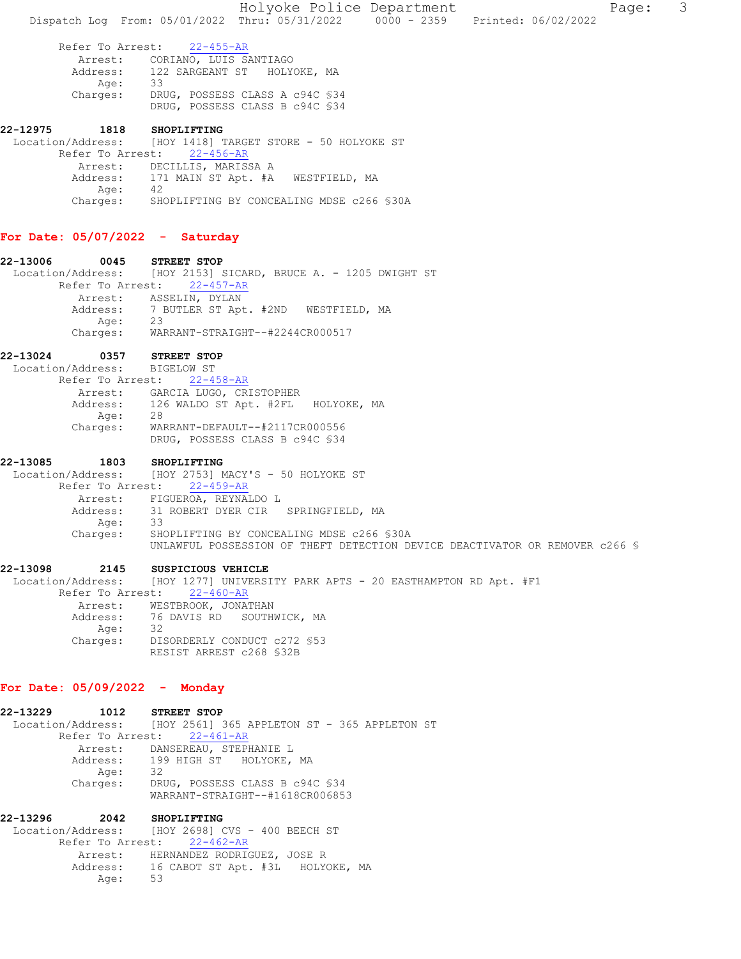Refer To Arrest: 22-455-AR Arrest: CORIANO, LUIS SANTIAGO Address: 122 SARGEANT ST HOLYOKE, MA Age: 33 Charges: DRUG, POSSESS CLASS A c94C §34 DRUG, POSSESS CLASS B c94C §34

22-12975 1818 SHOPLIFTING Location/Address: [HOY 1418] TARGET STORE - 50 HOLYOKE ST Refer To Arrest: 22-456-AR Arrest: DECILLIS, MARISSA A Address: 171 MAIN ST Apt. #A WESTFIELD, MA<br>Age: 42 Age: Charges: SHOPLIFTING BY CONCEALING MDSE c266 §30A

## For Date: 05/07/2022 - Saturday

22-13006 0045 STREET STOP Location/Address: [HOY 2153] SICARD, BRUCE A. - 1205 DWIGHT ST Refer To Arrest: 22-457-AR Arrest: ASSELIN, DYLAN Address: 7 BUTLER ST Apt. #2ND WESTFIELD, MA Age: 23 Charges: WARRANT-STRAIGHT--#2244CR000517

# 22-13024 0357 STREET STOP

 Location/Address: BIGELOW ST Refer To Arrest: 22-458-AR Arrest: GARCIA LUGO, CRISTOPHER Address: 126 WALDO ST Apt. #2FL HOLYOKE, MA Age: 28 Charges: WARRANT-DEFAULT--#2117CR000556 DRUG, POSSESS CLASS B c94C §34

22-13085 1803 SHOPLIFTING Location/Address: [HOY 2753] MACY'S - 50 HOLYOKE ST Refer To Arrest: 22-459-AR Arrest: FIGUEROA, REYNALDO L<br>Address: 31 ROBERT DYER CIR 31 ROBERT DYER CIR SPRINGFIELD, MA<br>33 Age: Charges: SHOPLIFTING BY CONCEALING MDSE c266 §30A UNLAWFUL POSSESSION OF THEFT DETECTION DEVICE DEACTIVATOR OR REMOVER c266 §

# 22-13098 2145 SUSPICIOUS VEHICLE Location/Address: [HOY 1277] UNIVERSITY PARK APTS - 20 EASTHAMPTON RD Apt. #F1 Refer To Arrest: 22-460-AR

Arrest: WESTBROOK, JONATHAN<br>Address: 76 DAVIS RD SOUTH 76 DAVIS RD SOUTHWICK, MA Age: 32 Charges: DISORDERLY CONDUCT c272 §53 RESIST ARREST c268 §32B

# For Date: 05/09/2022 - Monday

22-13229 1012 STREET STOP Location/Address: [HOY 2561] 365 APPLETON ST - 365 APPLETON ST Refer To Arrest: 22-461-AR Arrest: DANSEREAU, STEPHANIE L Address: 199 HIGH ST HOLYOKE, MA Age: 32<br>Charges: DRI DRUG, POSSESS CLASS B c94C \$34 WARRANT-STRAIGHT--#1618CR006853

22-13296 2042 SHOPLIFTING Location/Address: [HOY 2698] CVS - 400 BEECH ST Refer To Arrest: 22-462-AR Arrest: HERNANDEZ RODRIGUEZ, JOSE R<br>Address: 16 CABOT ST Apt. #3L HOLY 16 CABOT ST Apt. #3L HOLYOKE, MA Age: 53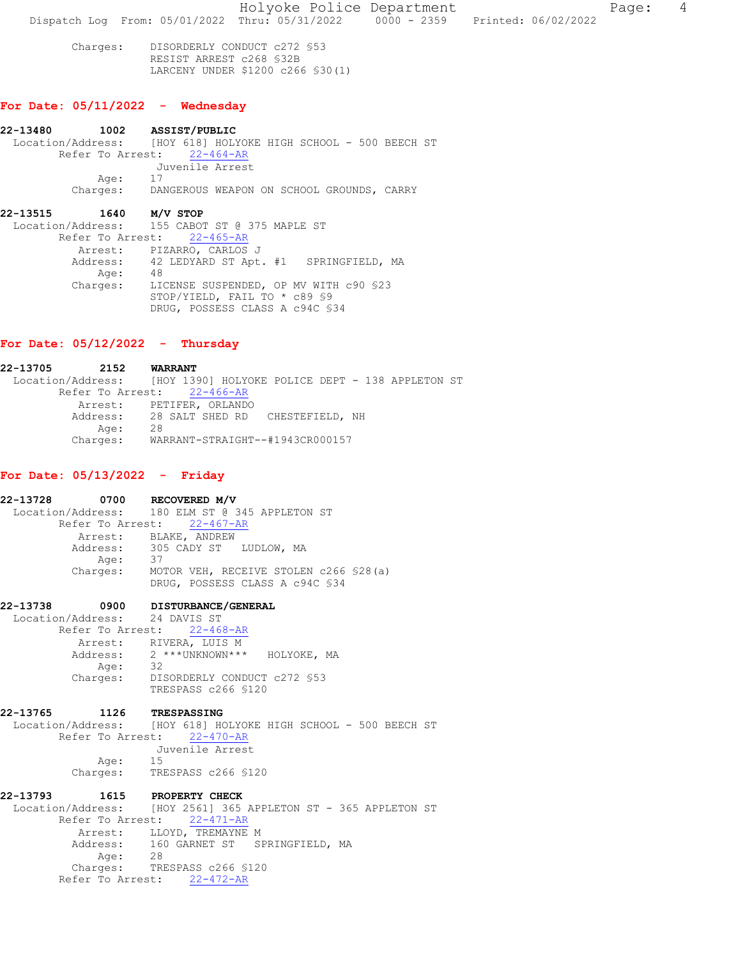Holyoke Police Department Fage: 4 Dispatch Log From: 05/01/2022 Thru: 05/31/2022 0000 - 2359 Printed: 06/02/2022

 Charges: DISORDERLY CONDUCT c272 §53 RESIST ARREST c268 §32B LARCENY UNDER \$1200 c266 §30(1)

## For Date: 05/11/2022 - Wednesday

22-13480 1002 ASSIST/PUBLIC Location/Address: [HOY 618] HOLYOKE HIGH SCHOOL - 500 BEECH ST Refer To Arrest: 22-464-AR Juvenile Arrest Age: Charges: DANGEROUS WEAPON ON SCHOOL GROUNDS, CARRY

#### 22-13515 1640 M/V STOP

 Location/Address: 155 CABOT ST @ 375 MAPLE ST Refer To Arrest: 22-465-AR Arrest: PIZARRO, CARLOS J Address: 42 LEDYARD ST Apt. #1 SPRINGFIELD, MA Address: 42<br>Age: 48<br>Charges: LI LICENSE SUSPENDED, OP MV WITH c90 §23 STOP/YIELD, FAIL TO \* c89 §9 DRUG, POSSESS CLASS A c94C §34

#### For Date: 05/12/2022 - Thursday

22-13705 2152 WARRANT Location/Address: [HOY 1390] HOLYOKE POLICE DEPT - 138 APPLETON ST Refer To Arrest: 22-466-AR Arrest: PETIFER, ORLANDO<br>Address: 28 SALT SHED RD 28 SALT SHED RD CHESTEFIELD, NH<br>28 Age:<br>:Charges Charges: WARRANT-STRAIGHT--#1943CR000157

#### For Date: 05/13/2022 - Friday

|          |         | 22-13728 0700 RECOVERED M/V                     |
|----------|---------|-------------------------------------------------|
|          |         | Location/Address: 180 ELM ST @ 345 APPLETON ST  |
|          |         | Refer To Arrest: 22-467-AR                      |
|          |         | Arrest: BLAKE, ANDREW                           |
|          |         | Address: 305 CADY ST LUDLOW, MA                 |
|          | Age: 37 |                                                 |
|          |         | Charges: MOTOR VEH, RECEIVE STOLEN c266 \$28(a) |
|          |         | DRUG, POSSESS CLASS A c94C \$34                 |
|          |         | 22-13738 0900 DISTURBANCE/GENERAL               |
|          |         | Location/Address: 24 DAVIS ST                   |
|          |         | Refer To Arrest: 22-468-AR                      |
|          |         | Arrest: RIVERA, LUIS M                          |
|          |         | Address: 2 *** UNKNOWN *** HOLYOKE, MA          |
|          | Age: 32 |                                                 |
|          |         | Charges: DISORDERLY CONDUCT c272 \$53           |
|          |         | TRESPASS c266 \$120                             |
| 22-13765 | 1126    | <b>TRESPASSING</b>                              |

 Location/Address: [HOY 618] HOLYOKE HIGH SCHOOL - 500 BEECH ST Refer To Arrest: 22-470-AR Juvenile Arrest Age: Charges: TRESPASS c266 §120

22-13793 1615 PROPERTY CHECK Location/Address: [HOY 2561] 365 APPLETON ST - 365 APPLETON ST Refer To Arrest: 22-471-AR Arrest: LLOYD, TREMAYNE M<br>Address: 160 GARNET ST S 160 GARNET ST SPRINGFIELD, MA<br>28 Age: Charges: TRESPASS c266 §120 Refer To Arrest: 22-472-AR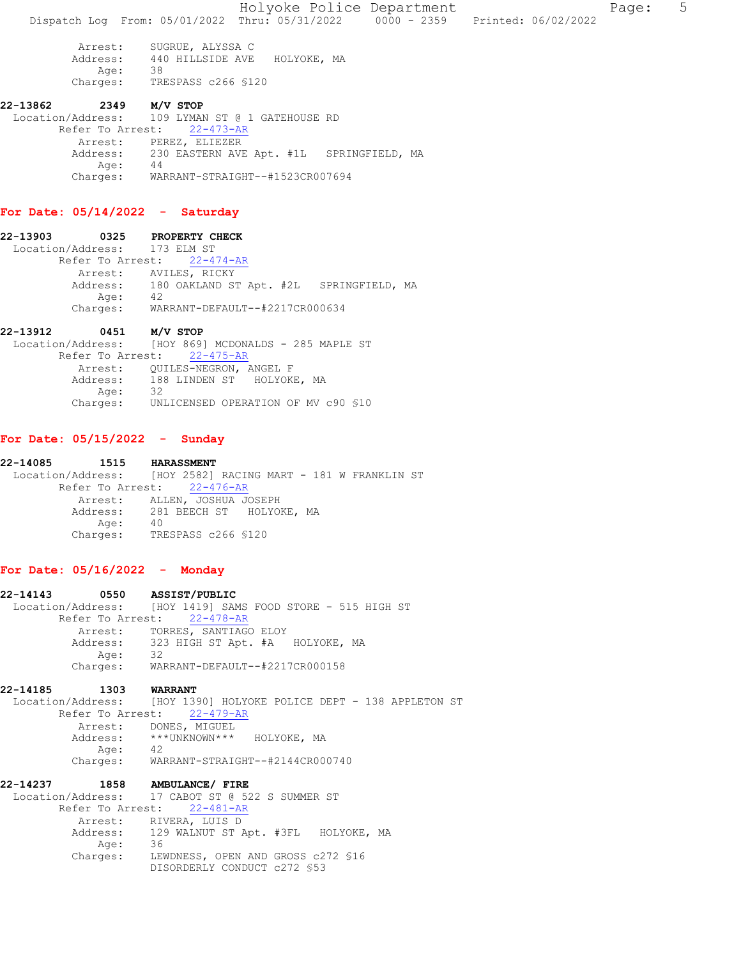Holyoke Police Department Fage: 5 Dispatch Log From: 05/01/2022 Thru: 05/31/2022 0000 - 2359 Printed: 06/02/2022 Arrest: SUGRUE, ALYSSA C Address: 440 HILLSIDE AVE HOLYOKE, MA Age: 38 Age: 38<br>Charges: TRESPASS c266 \$120 22-13862 2349 M/V STOP Location/Address: 109 LYMAN ST @ 1 GATEHOUSE RD Refer To Arrest: 22-473-AR Arrest: PEREZ, ELIEZER

# For Date: 05/14/2022 - Saturday

Age: 44

22-13903 0325 PROPERTY CHECK Location/Address: 173 ELM ST Refer To Arrest: 22-474-AR Arrest: AVILES, RICKY Address: 180 OAKLAND ST Apt. #2L SPRINGFIELD, MA Age: 42 Charges: WARRANT-DEFAULT--#2217CR000634

Address: 230 EASTERN AVE Apt. #1L SPRINGFIELD, MA

Charges: WARRANT-STRAIGHT--#1523CR007694

#### 22-13912 0451 M/V STOP

 Location/Address: [HOY 869] MCDONALDS - 285 MAPLE ST Refer To Arrest: 22-475-AR Arrest: QUILES-NEGRON, ANGEL F Address: 188 LINDEN ST HOLYOKE, MA Age: 32 Charges: UNLICENSED OPERATION OF MV c90 §10

#### For Date: 05/15/2022 - Sunday

22-14085 1515 HARASSMENT Location/Address: [HOY 2582] RACING MART - 181 W FRANKLIN ST Refer To Arrest: 22-476-AR Arrest: ALLEN, JOSHUA JOSEPH<br>Address: 281 BEECH ST HOLYON 281 BEECH ST HOLYOKE, MA<br>40 Age: Charges: TRESPASS c266 §120

#### For Date: 05/16/2022 - Monday

|                       | 22-14143 0550 ASSIST/PUBLIC                                        |
|-----------------------|--------------------------------------------------------------------|
|                       | Location/Address: [HOY 1419] SAMS FOOD STORE - 515 HIGH ST         |
|                       | Refer To Arrest: 22-478-AR                                         |
|                       | Arrest: TORRES, SANTIAGO ELOY                                      |
|                       | Address: 323 HIGH ST Apt. #A HOLYOKE, MA                           |
| Age: 32               |                                                                    |
|                       | Charges: WARRANT-DEFAULT--#2217CR000158                            |
| 22-14185 1303 WARRANT |                                                                    |
|                       | Location/Address: [HOY 1390] HOLYOKE POLICE DEPT - 138 APPLETON ST |
|                       | Refer To Arrest: 22-479-AR                                         |
|                       | Arrest: DONES, MIGUEL                                              |
|                       | Address: *** UNKNOWN*** HOLYOKE, MA                                |
| Age: 42               |                                                                    |
|                       | Charges: WARRANT-STRAIGHT--#2144CR000740                           |
|                       | 22-14237 1858 AMBULANCE/ FIRE                                      |
|                       | Location/Address: 17 CABOT ST @ 522 S SUMMER ST                    |
|                       | Refer To Arrest: 22-481-AR                                         |
|                       | Arrest: RIVERA, LUIS D                                             |
|                       | Address: 129 WALNUT ST Apt. #3FL HOLYOKE, MA                       |
| Age: 36               |                                                                    |
|                       | Charges: LEWDNESS, OPEN AND GROSS c272 \$16                        |

LEWDNESS, OPEN AND GROSS c272 §16 DISORDERLY CONDUCT c272 §53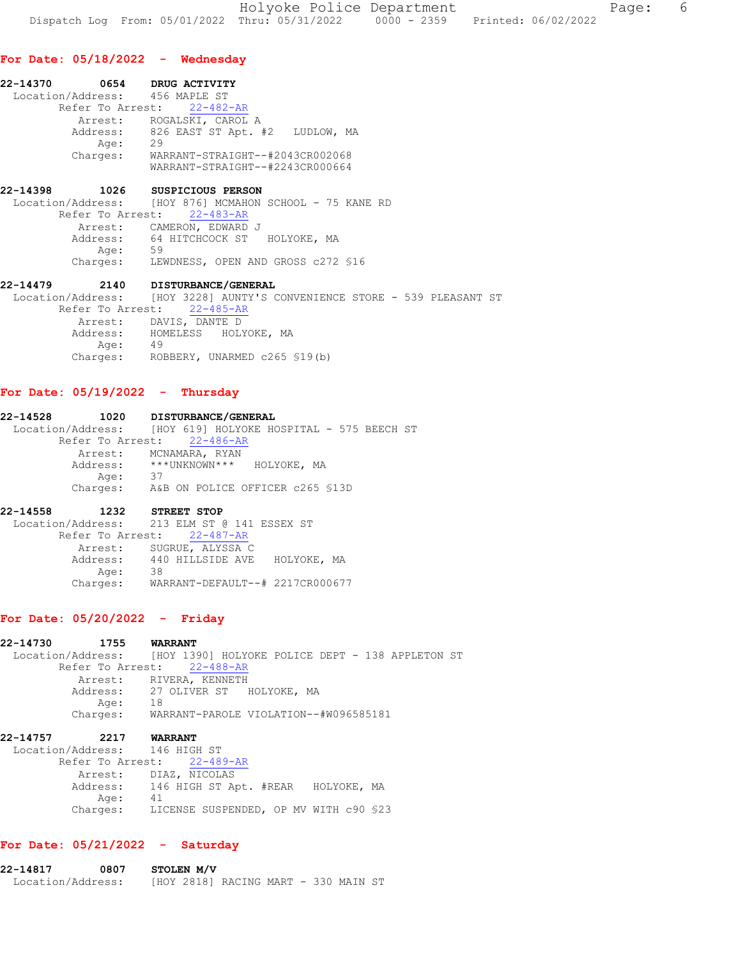#### For Date: 05/18/2022 - Wednesday

| 22-14370 | 0654             | DRUG ACTIVITY                                                         |  |
|----------|------------------|-----------------------------------------------------------------------|--|
|          |                  | Location/Address: 456 MAPLE ST                                        |  |
|          |                  | Refer To Arrest: 22-482-AR                                            |  |
|          | Arrest:          | ROGALSKI, CAROL A<br>Address: 826 EAST ST Apt. #2<br>LUDLOW, MA<br>29 |  |
|          | Age:<br>Charges: | WARRANT-STRAIGHT--#2043CR002068<br>WARRANT-STRAIGHT--#2243CR000664    |  |
|          |                  |                                                                       |  |

# 22-14398 1026 SUSPICIOUS PERSON<br>Location/Address: [HOY 876] MCMAHON

[HOY 876] MCMAHON SCHOOL - 75 KANE RD Refer To Arrest: 22-483-AR Arrest: CAMERON, EDWARD J Address: 64 HITCHCOCK ST HOLYOKE, MA Age: 59 Charges: LEWDNESS, OPEN AND GROSS c272 §16

22-14479 2140 DISTURBANCE/GENERAL Location/Address: [HOY 3228] AUNTY'S CONVENIENCE STORE - 539 PLEASANT ST Refer To Arrest: 22-485-AR Arrest: DAVIS, DANTE D Address: HOMELESS HOLYOKE, MA<br>Age: 49 Age: Charges: ROBBERY, UNARMED c265 §19(b)

## For Date: 05/19/2022 - Thursday

## 22-14528 1020 DISTURBANCE/GENERAL Location/Address: [HOY 619] HOLYOKE HOSPITAL - 575 BEECH ST Refer To Arrest: 22-486-AR Arrest: MCNAMARA, RYAN Address: \*\*\*UNKNOWN\*\*\* HOLYOKE, MA Age: 37 Charges: A&B ON POLICE OFFICER c265 §13D

#### 22-14558 1232 STREET STOP

Location/Address: 213 ELM ST @ 141 ESSEX ST Refer To Arrest: 22-487-AR Arrest: SUGRUE, ALYSSA C<br>Address: 440 HILLSIDE AVE HOLYOKE, MA Address: 440 HILLSIDE AVE Age: 38 Charges: WARRANT-DEFAULT--# 2217CR000677

## For Date: 05/20/2022 - Friday

22-14730 1755 WARRANT Location/Address: [HOY 1390] HOLYOKE POLICE DEPT - 138 APPLETON ST Refer To Arrest: 22-488-AR Arrest: RIVERA, KENNETH<br>Address: 27 OLIVER ST 27 OLIVER ST - HOLYOKE, MA<br>18 Age: Charges: WARRANT-PAROLE VIOLATION--#W096585181 22-14757 2217 WARRANT Location/Address: 146 HIGH ST Refer To Arrest: 22-489-AR

| Arrest:<br>Address: | DIAZ, NICOLAS<br>146 HIGH ST Apt. #REAR HOLYOKE, MA |  |
|---------------------|-----------------------------------------------------|--|
| Aae:                | 41                                                  |  |
| Charges:            | LICENSE SUSPENDED, OP MV WITH c90 \$23              |  |

# For Date: 05/21/2022 - Saturday

| 22-14817          | 0807 | STOLEN M/V |                                      |  |  |  |
|-------------------|------|------------|--------------------------------------|--|--|--|
| Location/Address: |      |            | THOY 28181 RACING MART - 330 MAIN ST |  |  |  |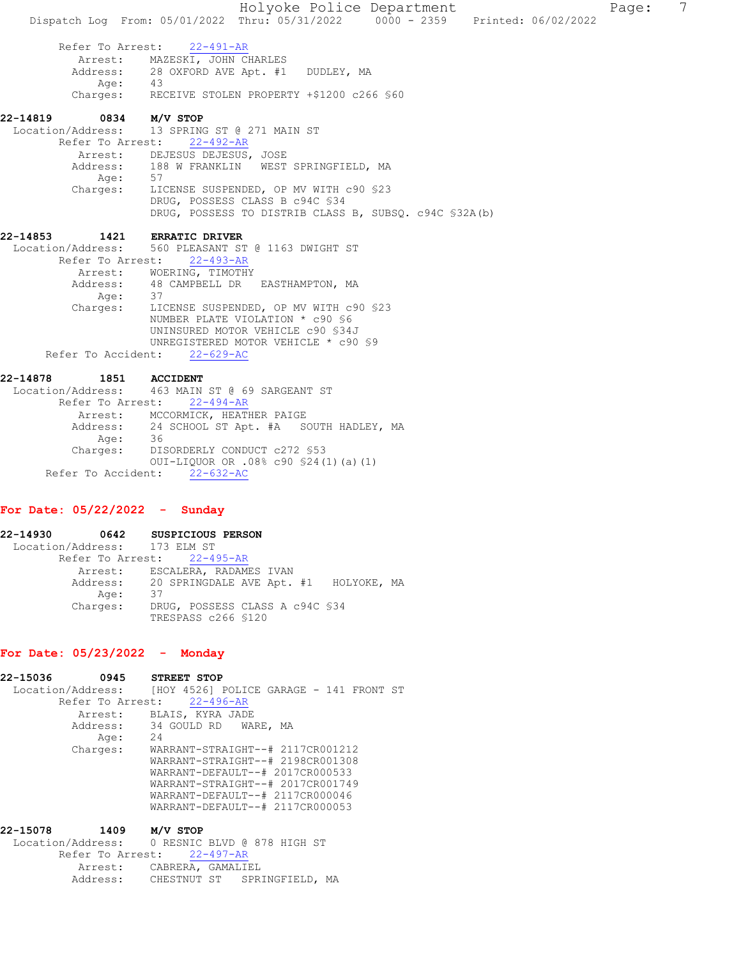Holyoke Police Department Fage: 7 Dispatch Log From: 05/01/2022 Thru: 05/31/2022 0000 - 2359 Printed: 06/02/2022 Refer To Arrest: 22-491-AR Arrest: MAZESKI, JOHN CHARLES<br>Address: 28 OXFORD AVE Apt. #1 28 OXFORD AVE Apt. #1 DUDLEY, MA<br>43 Age:<br>:Charges RECEIVE STOLEN PROPERTY +\$1200 c266 \$60 22-14819 0834 M/V STOP Location/Address: 13 SPRING ST @ 271 MAIN ST Refer To Arrest: 22-492-AR Arrest: DEJESUS DEJESUS, JOSE<br>Address: 188 W FRANKLIN WEST 188 W FRANKLIN WEST SPRINGFIELD, MA Age:<br>:Charges LICENSE SUSPENDED, OP MV WITH c90 §23 DRUG, POSSESS CLASS B c94C §34 DRUG, POSSESS TO DISTRIB CLASS B, SUBSQ. c94C §32A(b) 22-14853 1421 ERRATIC DRIVER Location/Address: 560 PLEASANT ST @ 1163 DWIGHT ST Refer To Arrest: 22-493-AR Arrest: WOERING, TIMOTHY<br>Address: 48 CAMPBELL DR 48 CAMPBELL DR EASTHAMPTON, MA<br>37 Age: Charges: LICENSE SUSPENDED, OP MV WITH c90 §23 NUMBER PLATE VIOLATION \* c90 §6 UNINSURED MOTOR VEHICLE c90 §34J UNREGISTERED MOTOR VEHICLE \* c90 \$9<br>nt: 22-629-AC Refer To Accident: 22-14878 1851 ACCIDENT Location/Address: 463 MAIN ST @ 69 SARGEANT ST Refer To Arrest: 22-494-AR Arrest: MCCORMICK, HEATHER PAIGE

 Address: 24 SCHOOL ST Apt. #A SOUTH HADLEY, MA Age: 36 Charges: DISORDERLY CONDUCT c272 §53 OUI-LIQUOR OR .08% c90 §24(1)(a)(1) Refer To Accident: 22-632-AC

#### For Date: 05/22/2022 - Sunday

22-14930 0642 SUSPICIOUS PERSON Location/Address: 173 ELM ST Refer To Arrest: 22-495-AR Arrest: ESCALERA, RADAMES IVAN<br>Address: 20 SPRINGDALE AVE Apt. 20 SPRINGDALE AVE Apt. #1 HOLYOKE, MA Age: 37 Charges: DRUG, POSSESS CLASS A c94C §34 TRESPASS c266 §120

# For Date: 05/23/2022 - Monday

22-15036 0945 STREET STOP Location/Address: [HOY 4526] POLICE GARAGE - 141 FRONT ST Refer To Arrest: 22-496-AR Arrest: BLAIS, KYRA JADE Address: 34 GOULD RD WARE, MA<br>Age: 24 Age: Charges: WARRANT-STRAIGHT--# 2117CR001212 WARRANT-STRAIGHT--# 2198CR001308 WARRANT-DEFAULT--# 2017CR000533 WARRANT-STRAIGHT--# 2017CR001749 WARRANT-DEFAULT--# 2117CR000046 WARRANT-DEFAULT--# 2117CR000053 22-15078 1409 M/V STOP

 Location/Address: 0 RESNIC BLVD @ 878 HIGH ST Refer To Arrest: 22-497-AR Arrest: CABRERA, GAMALIEL Address: CHESTNUT ST SPRINGFIELD, MA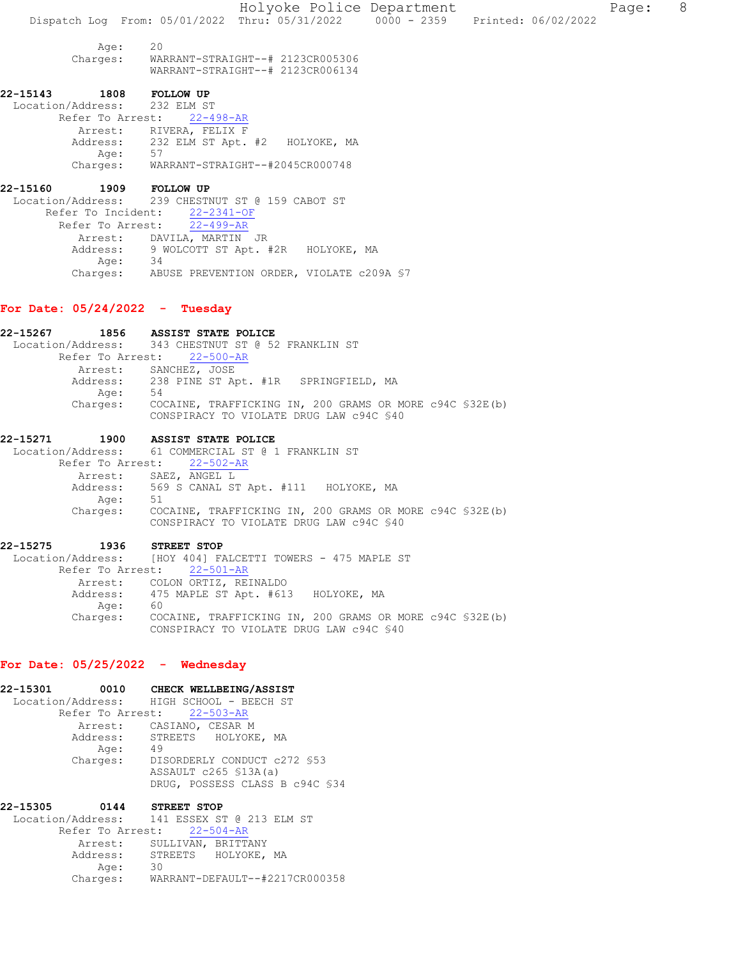Holyoke Police Department Fage: 8 Dispatch Log From: 05/01/2022 Thru: 05/31/2022 0000 - 2359 Printed: 06/02/2022 Age: 20<br>Charges: WAI Charges: WARRANT-STRAIGHT--# 2123CR005306 WARRANT-STRAIGHT--# 2123CR006134 22-15143 1808 FOLLOW UP Location/Address: 232 ELM ST Refer To Arrest: 22-498-AR Arrest: RIVERA, FELIX F Address: 232 ELM ST Apt. #2 HOLYOKE, MA Age: Charges: WARRANT-STRAIGHT--#2045CR000748 22-15160 1909 FOLLOW UP Location/Address: 239 CHESTNUT ST @ 159 CABOT ST Refer To Incident: 22-2341-OF Refer To Arrest: 22-499-AR Arrest: DAVILA, MARTIN JR<br>Address: 9 WOLCOTT ST Apt. 9 WOLCOTT ST Apt. #2R HOLYOKE, MA<br>34 Age:

# Charges: ABUSE PREVENTION ORDER, VIOLATE c209A §7

#### For Date: 05/24/2022 - Tuesday

22-15267 1856 ASSIST STATE POLICE<br>Location/Address: 343 CHESTNUT ST @ 52 343 CHESTNUT ST @ 52 FRANKLIN ST Refer To Arrest: 22-500-AR Arrest: SANCHEZ, JOSE Address: 238 PINE ST Apt. #1R SPRINGFIELD, MA Age: 54 Charges: COCAINE, TRAFFICKING IN, 200 GRAMS OR MORE c94C §32E(b) CONSPIRACY TO VIOLATE DRUG LAW c94C §40

#### 22-15271 1900 ASSIST STATE POLICE Location/Address: 61 COMMERCIAL ST @ 1 FRANKLIN ST

 Refer To Arrest: 22-502-AR Arrest: SAEZ, ANGEL L Address: 569 S CANAL ST Apt. #111 HOLYOKE, MA<br>Age: 51 Age:<br>:Charges COCAINE, TRAFFICKING IN, 200 GRAMS OR MORE c94C §32E(b) CONSPIRACY TO VIOLATE DRUG LAW c94C §40

# 22-15275 1936 STREET STOP

 Location/Address: [HOY 404] FALCETTI TOWERS - 475 MAPLE ST Refer To Arrest: 22-501-AR Arrest: COLON ORTIZ, REINALDO 475 MAPLE ST Apt. #613 HOLYOKE, MA<br>60 Address:<br>Age: Charges: COCAINE, TRAFFICKING IN, 200 GRAMS OR MORE c94C §32E(b) CONSPIRACY TO VIOLATE DRUG LAW c94C §40

# For Date: 05/25/2022 - Wednesday

| 22-15301 |         | 0010 CHECK WELLBEING/ASSIST              |
|----------|---------|------------------------------------------|
|          |         | Location/Address: HIGH SCHOOL - BEECH ST |
|          |         | Refer To Arrest: 22-503-AR               |
|          |         | Arrest: CASIANO, CESAR M                 |
|          |         | Address: STREETS HOLYOKE, MA             |
|          | Age: 49 |                                          |
|          |         | Charges: DISORDERLY CONDUCT c272 \$53    |
|          |         | ASSAULT c265 §13A(a)                     |
|          |         | DRUG, POSSESS CLASS B c94C \$34          |
| 22-15305 | 0144    | STREET STOP                              |
|          |         | .     .                                  |

| Location/Address: 141 ESSEX ST @ 213 ELM ST |    |  |
|---------------------------------------------|----|--|
| Refer To Arrest: 22-504-AR                  |    |  |
| Arrest: SULLIVAN, BRITTANY                  |    |  |
| Address: STREETS HOLYOKE, MA                |    |  |
| Age:                                        | 30 |  |
| Charges: WARRANT-DEFAULT--#2217CR000358     |    |  |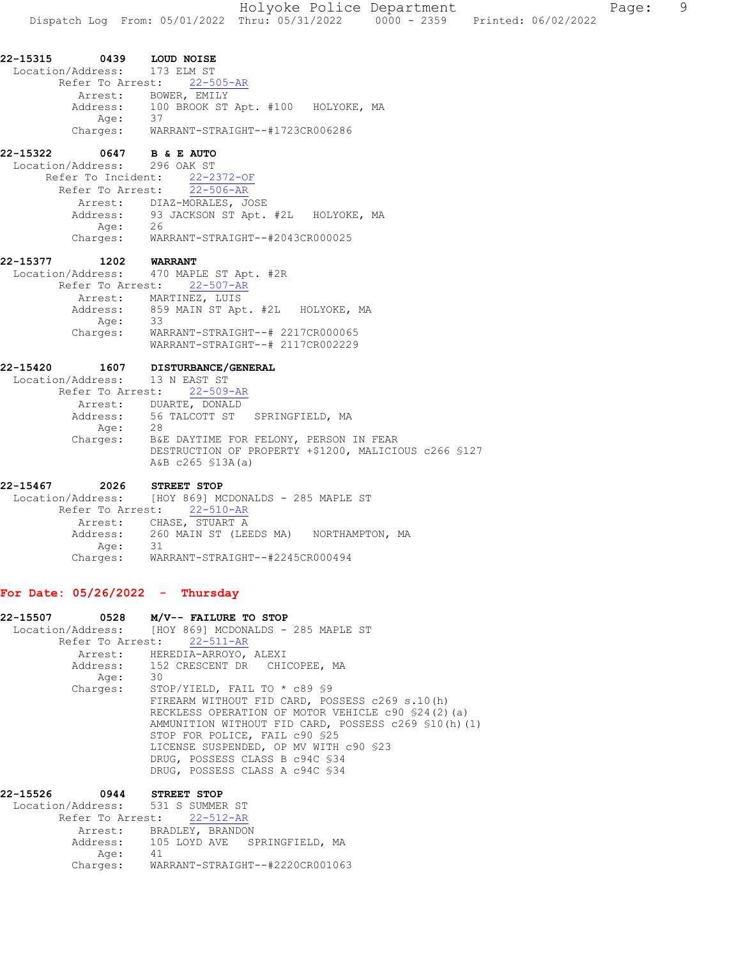# **22-15322 0647 B & E AUTO**<br>Location/Address: 296 OAK ST

Location/Address: Refer To Incident: 22-2372-OF Refer To Arrest: 22-506-AR Arrest: DIAZ-MORALES, JOSE Address: 93 JACKSON ST Apt. #2L HOLYOKE, MA Age: 26 Charges: WARRANT-STRAIGHT--#2043CR000025

## 22-15377 1202 WARRANT Location/Address: 470 MAPLE ST Apt. #2R Refer To Arrest: 22-507-AR Arrest: MARTINEZ, LUIS Address: 859 MAIN ST Apt. #2L HOLYOKE, MA<br>Age: 33 Age:<br>:Charges Charges: WARRANT-STRAIGHT--# 2217CR000065 WARRANT-STRAIGHT--# 2117CR002229

# 22-15420 1607 DISTURBANCE/GENERAL

| Location/Address: 13 N EAST ST |                                                                            |
|--------------------------------|----------------------------------------------------------------------------|
|                                | Refer To Arrest: 22-509-AR                                                 |
|                                | Arrest: DUARTE, DONALD                                                     |
|                                | Address: 56 TALCOTT ST SPRINGFIELD, MA                                     |
| Age:                           | 28                                                                         |
| Charges:                       | B&E DAYTIME FOR FELONY, PERSON IN FEAR                                     |
|                                | DESTRUCTION OF PROPERTY +\$1200, MALICIOUS c266 \$127<br>A&B c265 \$13A(a) |

22-15467 2026 STREET STOP Location/Address: [HOY 869] MCDONALDS - 285 MAPLE ST Refer To Arrest: 22-510-AR Arrest: CHASE, STUART A<br>Address: 260 MAIN ST (LEI 260 MAIN ST (LEEDS MA) NORTHAMPTON, MA Age: 31 Charges: WARRANT-STRAIGHT--#2245CR000494

# For Date: 05/26/2022 - Thursday

22-15507 0528 M/V-- FAILURE TO STOP Location/Address: [HOY 869] MCDONALDS - 285 MAPLE ST Refer To Arrest: 22-511-AR Arrest: HEREDIA-ARROYO, ALEXI Address: 152 CRESCENT DR CHICOPEE, MA Age: 30 Charges: STOP/YIELD, FAIL TO \* c89 §9 FIREARM WITHOUT FID CARD, POSSESS c269 s.10(h) RECKLESS OPERATION OF MOTOR VEHICLE c90 §24(2)(a) AMMUNITION WITHOUT FID CARD, POSSESS c269 §10(h)(1) STOP FOR POLICE, FAIL c90 §25 LICENSE SUSPENDED, OP MV WITH c90 §23 DRUG, POSSESS CLASS B c94C §34 DRUG, POSSESS CLASS A c94C §34

22-15526 0944 STREET STOP Location/Address: 531 S SUMMER ST Refer To Arrest: 22-512-AR Arrest: BRADLEY, BRANDON<br>Address: 105 LOYD AVE S 105 LOYD AVE SPRINGFIELD, MA Age: 41 Charges: WARRANT-STRAIGHT--#2220CR001063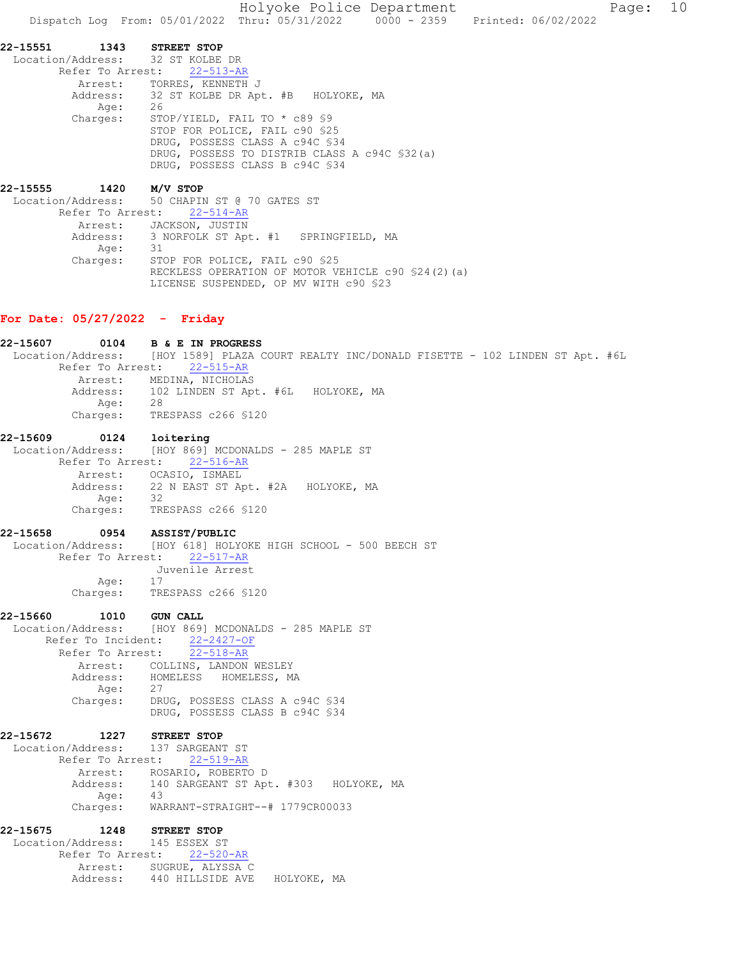Holyoke Police Department Fage: 10 Dispatch Log From: 05/01/2022 Thru: 05/31/2022 0000 - 2359 Printed: 06/02/2022

22-15551 1343 STREET STOP Location/Address: 32 ST KOLBE DR Refer To Arrest: 22-513-AR Arrest: TORRES, KENNETH J 32 ST KOLBE DR Apt. #B HOLYOKE, MA<br>26 Address:<br>Age:<br>Charges: STOP/YIELD, FAIL TO \* c89 §9 STOP FOR POLICE, FAIL c90 §25 DRUG, POSSESS CLASS A c94C §34 DRUG, POSSESS TO DISTRIB CLASS A c94C §32(a) DRUG, POSSESS CLASS B c94C §34

22-15555 1420 M/V STOP Location/Address: 50 CHAPIN ST @ 70 GATES ST Refer To Arrest: 22-514-AR Arrest: JACKSON, JUSTIN Address: 3 NORFOLK ST Apt. #1 SPRINGFIELD, MA<br>Ade: 31 Age:<br>:Charges STOP FOR POLICE, FAIL c90 §25 RECKLESS OPERATION OF MOTOR VEHICLE c90 §24(2)(a) LICENSE SUSPENDED, OP MV WITH c90 §23

# For Date: 05/27/2022 - Friday

| 22-15607           | 0104<br><b>B &amp; E IN PROGRESS</b>                                                        |
|--------------------|---------------------------------------------------------------------------------------------|
|                    | Location/Address: [HOY 1589] PLAZA COURT REALTY INC/DONALD FISETTE - 102 LINDEN ST Apt. #6L |
| Refer To Arrest:   | $22 - 515 - AR$                                                                             |
|                    | Arrest: MEDINA, NICHOLAS                                                                    |
|                    | Address: 102 LINDEN ST Apt. #6L HOLYOKE, MA                                                 |
| Age:               | 28                                                                                          |
| Charges:           | TRESPASS c266 \$120                                                                         |
| 22-15609           | 0124<br>loitering                                                                           |
| Location/Address:  | [HOY 869] MCDONALDS - 285 MAPLE ST                                                          |
|                    | Refer To Arrest: 22-516-AR                                                                  |
|                    | Arrest: OCASIO, ISMAEL                                                                      |
|                    | Address: 22 N EAST ST Apt. #2A HOLYOKE, MA                                                  |
| Age:<br>Charges:   | 32                                                                                          |
|                    | TRESPASS c266 \$120                                                                         |
| 22-15658           | 0954 ASSIST/PUBLIC                                                                          |
|                    | Location/Address: [HOY 618] HOLYOKE HIGH SCHOOL - 500 BEECH ST                              |
|                    | Refer To Arrest: 22-517-AR                                                                  |
|                    | Juvenile Arrest                                                                             |
| Age:               | 17                                                                                          |
| Charges:           | TRESPASS c266 §120                                                                          |
| 22-15660<br>1010   | <b>GUN CALL</b>                                                                             |
|                    | Location/Address: [HOY 869] MCDONALDS - 285 MAPLE ST                                        |
| Refer To Incident: | $22 - 2427 - OF$                                                                            |
|                    | Refer To Arrest:<br>$22 - 518 - AR$                                                         |
|                    | Arrest: COLLINS, LANDON WESLEY                                                              |
|                    | Address: HOMELESS HOMELESS, MA                                                              |
|                    | Age: 27<br>Charges: DRU                                                                     |
|                    | DRUG, POSSESS CLASS A c94C \$34                                                             |
|                    | DRUG, POSSESS CLASS B c94C \$34                                                             |
| 22-15672           | 1227 STREET STOP                                                                            |
| Location/Address:  | 137 SARGEANT ST                                                                             |
|                    | Refer To Arrest: 22-519-AR                                                                  |
|                    | Arrest: ROSARIO, ROBERTO D                                                                  |
|                    | Address: 140 SARGEANT ST Apt. #303 HOLYOKE, MA<br>Age: 43                                   |
|                    |                                                                                             |
| Charges:           | WARRANT-STRAIGHT--# 1779CR00033                                                             |
| 22-15675<br>1248   | <b>STREET STOP</b>                                                                          |
| Location/Address:  | 145 ESSEX ST                                                                                |
|                    | Refer To Arrest: 22-520-AR                                                                  |
|                    | Arrest: SUGRUE, ALYSSA C                                                                    |
| Address:           | 440 HILLSIDE AVE<br>HOLYOKE, MA                                                             |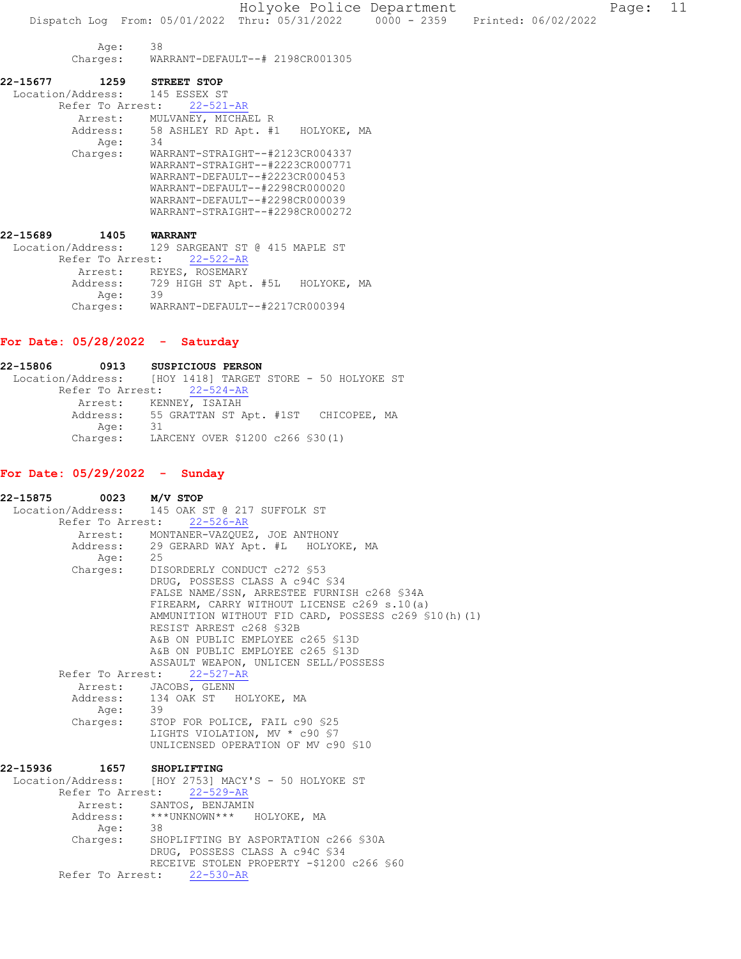Holyoke Police Department Page: 11 Dispatch Log From: 05/01/2022 Thru: 05/31/2022 0000 - 2359 Printed: 06/02/2022 Age: 38<br>Charges: WA Charges: WARRANT-DEFAULT--# 2198CR001305 22-15677 1259 STREET STOP Location/Address: 145 ESSEX ST Refer To Arrest: 22-521-AR Arrest: MULVANEY, MICHAEL R Address: 58 ASHLEY RD Apt. #1 HOLYOKE, MA Age: 34<br>Charges: WAI Charges: WARRANT-STRAIGHT--#2123CR004337 WARRANT-STRAIGHT--#2223CR000771 WARRANT-DEFAULT--#2223CR000453 WARRANT-DEFAULT--#2298CR000020 WARRANT-DEFAULT--#2298CR000039 WARRANT-STRAIGHT--#2298CR000272 22-15689 1405 WARRANT Location/Address: 129 SARGEANT ST @ 415 MAPLE ST Refer To Arrest: 22-522-AR Arrest: REYES, ROSEMARY<br>Address: 729 HIGH ST Apt

## For Date: 05/28/2022 - Saturday

Age:

22-15806 0913 SUSPICIOUS PERSON Location/Address: [HOY 1418] TARGET STORE - 50 HOLYOKE ST Refer To Arrest: 22-524-AR Arrest: KENNEY, ISAIAH<br>Address: 55 GRATTAN ST P 55 GRATTAN ST Apt. #1ST CHICOPEE, MA<br>31 Age: Charges: LARCENY OVER \$1200 c266 §30(1)

Charges: WARRANT-DEFAULT--#2217CR000394

729 HIGH ST Apt. #5L HOLYOKE, MA<br>39

## For Date: 05/29/2022 - Sunday

22-15875 0023 M/V STOP Location/Address: 145 OAK ST @ 217 SUFFOLK ST Refer To Arrest: 22-526-AR Arrest: MONTANER-VAZQUEZ, JOE ANTHONY Address: 29 GERARD WAY Apt. #L HOLYOKE, MA Age: 25<br>Charges: DIS DISORDERLY CONDUCT c272 §53 DRUG, POSSESS CLASS A c94C §34 FALSE NAME/SSN, ARRESTEE FURNISH c268 §34A FIREARM, CARRY WITHOUT LICENSE c269 s.10(a) AMMUNITION WITHOUT FID CARD, POSSESS c269 §10(h)(1) RESIST ARREST c268 §32B A&B ON PUBLIC EMPLOYEE c265 §13D A&B ON PUBLIC EMPLOYEE c265 §13D ASSAULT WEAPON, UNLICEN SELL/POSSESS Refer To Arrest: 22-527-AR Arrest: JACOBS, GLENN Address: 134 OAK ST HOLYOKE, MA Age: 39 Charges: STOP FOR POLICE, FAIL c90 \$25 LIGHTS VIOLATION, MV \* c90 §7 UNLICENSED OPERATION OF MV c90 §10 22-15936 1657 SHOPLIFTING Location/Address: [HOY 2753] MACY'S - 50 HOLYOKE ST Refer To Arrest: 22-529-AR Arrest: SANTOS, BENJAMIN Address: \*\*\*UNKNOWN\*\*\* HOLYOKE, MA<br>Age: 38 Age: Charges: SHOPLIFTING BY ASPORTATION c266 §30A DRUG, POSSESS CLASS A c94C §34 RECEIVE STOLEN PROPERTY -\$1200 c266 §60 Refer To Arrest: 22-530-AR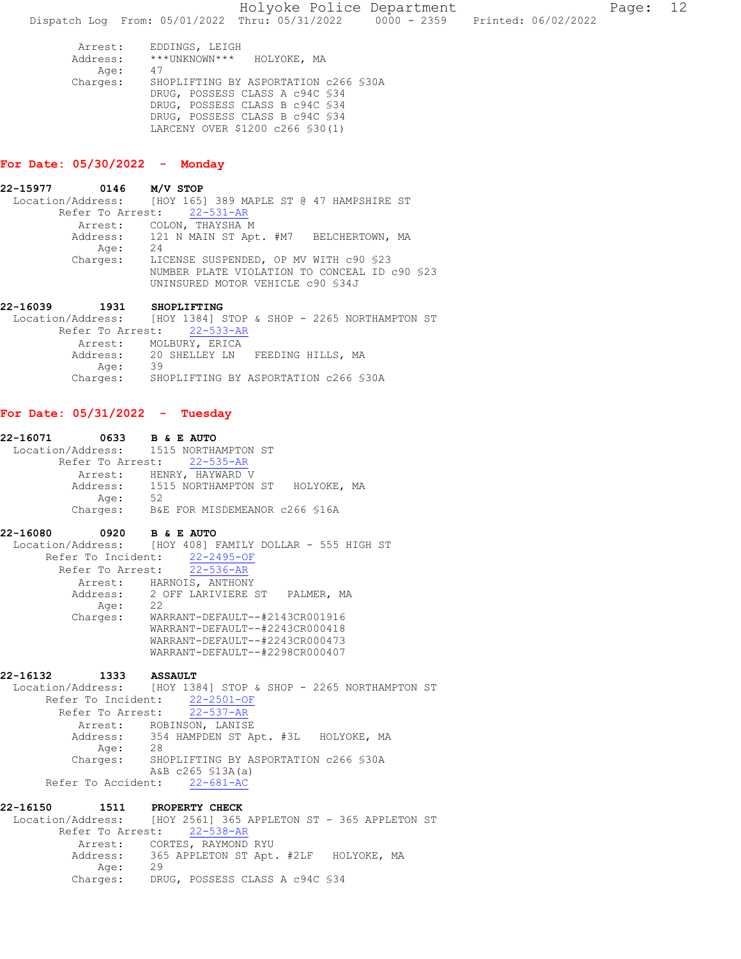LARCENY OVER \$1200 c266 §30(1)

## For Date: 05/30/2022 - Monday

| 22-15977 | $0146$ M/V STOP |                                                            |
|----------|-----------------|------------------------------------------------------------|
|          |                 | Location/Address: [HOY 165] 389 MAPLE ST @ 47 HAMPSHIRE ST |
|          |                 | Refer To Arrest: 22-531-AR                                 |
|          |                 | Arrest: COLON, THAYSHA M                                   |
|          |                 | Address: 121 N MAIN ST Apt. #M7 BELCHERTOWN, MA            |
|          | Age:            | 24                                                         |
|          | Charges:        | LICENSE SUSPENDED, OP MV WITH c90 \$23                     |
|          |                 | NUMBER PLATE VIOLATION TO CONCEAL ID c90 \$23              |
|          |                 | UNINSURED MOTOR VEHICLE c90 \$34J                          |
|          |                 |                                                            |

22-16039 1931 SHOPLIFTING Location/Address: [HOY 1384] STOP & SHOP - 2265 NORTHAMPTON ST Refer To Arrest: 22-533-AR Arrest: MOLBURY, ERICA Address: 20 SHELLEY LN FEEDING HILLS, MA Age: 39 Charges: SHOPLIFTING BY ASPORTATION c266 §30A

# For Date: 05/31/2022 - Tuesday

22-16071 0633 B & E AUTO Location/Address: 1515 NORTHAMPTON ST Refer To Arrest: 22-535-AR Arrest: HENRY, HAYWARD V Address: 1515 NORTHAMPTON ST HOLYOKE, MA<br>Age: 52 Age: Charges: B&E FOR MISDEMEANOR c266 §16A

## 22-16080 0920 B & E AUTO

 Location/Address: [HOY 408] FAMILY DOLLAR - 555 HIGH ST Refer To Incident: 22-2495-OF Refer To Arrest: 22-536-AR Arrest: HARNOIS, ANTHONY Address: 2 OFF LARIVIERE ST PALMER, MA<br>Age: 22 Age:<br>:Charges Charges: WARRANT-DEFAULT--#2143CR001916 WARRANT-DEFAULT--#2243CR000418 WARRANT-DEFAULT--#2243CR000473 WARRANT-DEFAULT--#2298CR000407

# 22-16132 1333 ASSAULT

Location/Address: [HOY 1384] STOP & SHOP - 2265 NORTHAMPTON ST Refer To Incident: 22-2501-OF Refer To Arrest: 22-537-AR Arrest: ROBINSON, LANISE Address: 354 HAMPDEN ST Apt. #3L HOLYOKE, MA Age: 28 Charges: SHOPLIFTING BY ASPORTATION c266 §30A A&B c265 §13A(a) Refer To Accident: 22-681-AC

22-16150 1511 PROPERTY CHECK Location/Address: [HOY 2561] 365 APPLETON ST - 365 APPLETON ST<br>Refer To Arrest: 22-538-AR Refer To Arrest: 22-538-AR Arrest: CORTES, RAYMOND RYU Address: 365 APPLETON ST Apt. #2LF HOLYOKE, MA<br>Aqe: 29 Age: Charges: DRUG, POSSESS CLASS A c94C §34